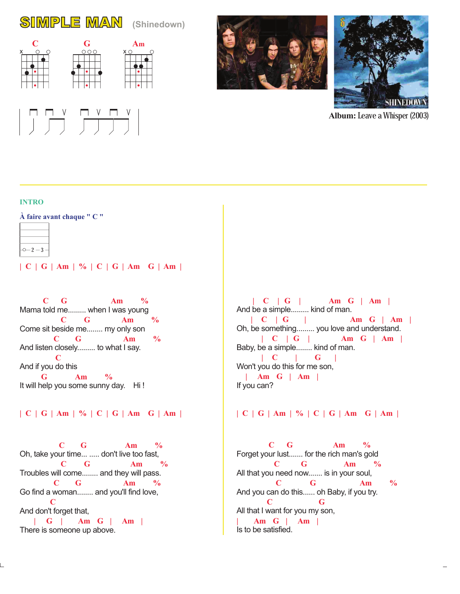# SIMPLE MAN **(Shinedown)**









**Album:** Leave a Whisper (2003)

### **INTRO**

**À faire avant chaque " C "**



**| C | G | Am | % | C | G | Am G | Am |**

Mama told me......... when I was young Come sit beside me........ my only son And listen closely......... to what I say. And if you do this It will help you some sunny day. Hi!  **C G Am % C G Am % C G Am % C G Am %**

# **| C | G | Am | % | C | G | Am G | Am |**

Oh, take your time... ..... don't live too fast, Troubles will come........ and they will pass. Go find a woman........ and you'll find love, And don't forget that, There is someone up above.  **C G Am % C G Am % C G Am % C | G | Am G | Am |**

And be a simple......... kind of man. Oh, be something......... you love and understand. Baby, be a simple........ kind of man. Won't you do this for me son, If you can?  **| C | G | Am G | Am | | C | G | Am G | Am | | C | G | Am G | Am | | C | G | | Am G | Am |**

# **| C | G | Am | % | C | G | Am G | Am |**

Forget your lust....... for the rich man's gold All that you need now....... is in your soul, And you can do this...... oh Baby, if you try. All that I want for you my son, Is to be satisfied.  **C G Am % C G Am % C G Am % C G | Am G | Am |**